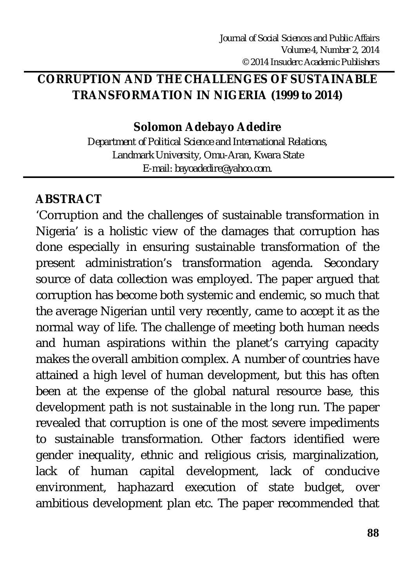## **CORRUPTION AND THE CHALLENGES OF SUSTAINABLE TRANSFORMATION IN NIGERIA (1999 to 2014)**

### **Solomon Adebayo Adedire**

*Department of Political Science and International Relations, Landmark University, Omu-Aran, Kwara State E-mail: bayoadedire@yahoo.com.* 

# **ABSTRACT**

'Corruption and the challenges of sustainable transformation in Nigeria' is a holistic view of the damages that corruption has done especially in ensuring sustainable transformation of the present administration's transformation agenda. Secondary source of data collection was employed. The paper argued that corruption has become both systemic and endemic, so much that the average Nigerian until very recently, came to accept it as the normal way of life. The challenge of meeting both human needs and human aspirations within the planet's carrying capacity makes the overall ambition complex. A number of countries have attained a high level of human development, but this has often been at the expense of the global natural resource base, this development path is not sustainable in the long run. The paper revealed that corruption is one of the most severe impediments to sustainable transformation. Other factors identified were gender inequality, ethnic and religious crisis, marginalization, lack of human capital development, lack of conducive environment, haphazard execution of state budget, over ambitious development plan etc. The paper recommended that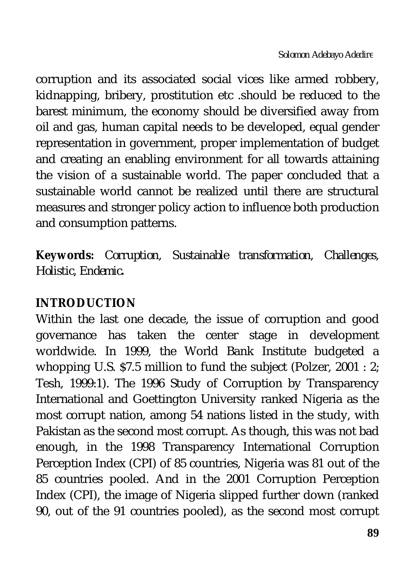corruption and its associated social vices like armed robbery, kidnapping, bribery, prostitution etc .should be reduced to the barest minimum, the economy should be diversified away from oil and gas, human capital needs to be developed, equal gender representation in government, proper implementation of budget and creating an enabling environment for all towards attaining the vision of a sustainable world. The paper concluded that a sustainable world cannot be realized until there are structural measures and stronger policy action to influence both production and consumption patterns.

**Keywords***: Corruption, Sustainable transformation, Challenges, Holistic, Endemic.*

# **INTRODUCTION**

Within the last one decade, the issue of corruption and good governance has taken the center stage in development worldwide. In 1999, the World Bank Institute budgeted a whopping U.S. \$7.5 million to fund the subject (Polzer, 2001 : 2; Tesh, 1999:1). The 1996 Study of Corruption by Transparency International and Goettington University ranked Nigeria as the most corrupt nation, among 54 nations listed in the study, with Pakistan as the second most corrupt. As though, this was not bad enough, in the 1998 Transparency International Corruption Perception Index (CPI) of 85 countries, Nigeria was 81 out of the 85 countries pooled. And in the 2001 Corruption Perception Index (CPI), the image of Nigeria slipped further down (ranked 90, out of the 91 countries pooled), as the second most corrupt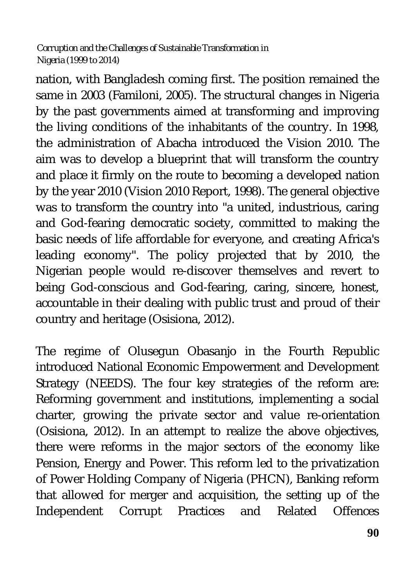nation, with Bangladesh coming first. The position remained the same in 2003 (Familoni, 2005). The structural changes in Nigeria by the past governments aimed at transforming and improving the living conditions of the inhabitants of the country. In 1998, the administration of Abacha introduced the Vision 2010. The aim was to develop a blueprint that will transform the country and place it firmly on the route to becoming a developed nation by the year 2010 (Vision 2010 Report, 1998). The general objective was to transform the country into "a united, industrious, caring and God-fearing democratic society, committed to making the basic needs of life affordable for everyone, and creating Africa's leading economy". The policy projected that by 2010, the Nigerian people would re-discover themselves and revert to being God-conscious and God-fearing, caring, sincere, honest, accountable in their dealing with public trust and proud of their country and heritage (Osisiona, 2012).

The regime of Olusegun Obasanjo in the Fourth Republic introduced National Economic Empowerment and Development Strategy (NEEDS). The four key strategies of the reform are: Reforming government and institutions, implementing a social charter, growing the private sector and value re-orientation (Osisiona, 2012). In an attempt to realize the above objectives, there were reforms in the major sectors of the economy like Pension, Energy and Power. This reform led to the privatization of Power Holding Company of Nigeria (PHCN), Banking reform that allowed for merger and acquisition, the setting up of the Independent Corrupt Practices and Related Offences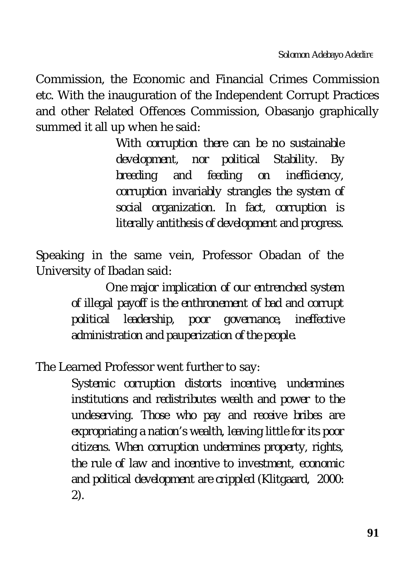Commission, the Economic and Financial Crimes Commission etc. With the inauguration of the Independent Corrupt Practices and other Related Offences Commission, Obasanjo graphically summed it all up when he said:

> *With corruption there can be no sustainable development, nor political Stability. By breeding and feeding on inefficiency, corruption invariably strangles the system of social organization. In fact, corruption is literally antithesis of development and progress.*

Speaking in the same vein, Professor Obadan of the University of Ibadan said:

> *One major implication of our entrenched system of illegal payoff is the enthronement of bad and corrupt political leadership, poor governance, ineffective administration and pauperization of the people.*

The Learned Professor went further to say:

*Systemic corruption distorts incentive, undermines institutions and redistributes wealth and power to the undeserving. Those who pay and receive bribes are expropriating a nation's wealth, leaving little for its poor citizens. When corruption undermines property, rights, the rule of law and incentive to investment, economic and political development are crippled (Klitgaard, 2000: 2).*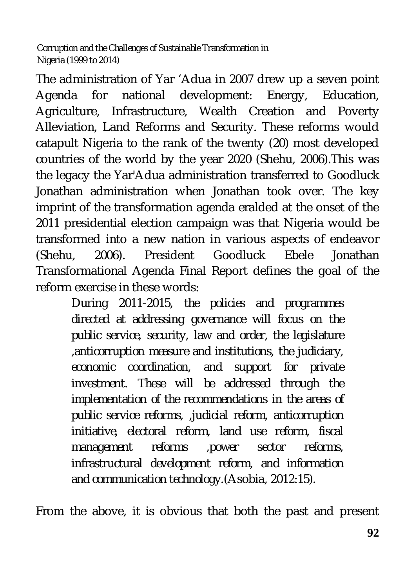The administration of Yar 'Adua in 2007 drew up a seven point Agenda for national development: Energy, Education, Agriculture, Infrastructure, Wealth Creation and Poverty Alleviation, Land Reforms and Security. These reforms would catapult Nigeria to the rank of the twenty (20) most developed countries of the world by the year 2020 (Shehu, 2006).This was the legacy the Yar'Adua administration transferred to Goodluck Jonathan administration when Jonathan took over. The key imprint of the transformation agenda eralded at the onset of the 2011 presidential election campaign was that Nigeria would be transformed into a new nation in various aspects of endeavor (Shehu, 2006). President Goodluck Ebele Jonathan Transformational Agenda Final Report defines the goal of the reform exercise in these words:

> *During 2011-2015, the policies and programmes directed at addressing governance will focus on the public service, security, law and order, the legislature ,anticorruption measure and institutions, the judiciary, economic coordination, and support for private investment. These will be addressed through the implementation of the recommendations in the areas of public service reforms, ,judicial reform, anticorruption initiative, electoral reform, land use reform, fiscal management reforms ,power sector reforms, infrastructural development reform, and information and communication technology.*(Asobia, 2012:15).

From the above, it is obvious that both the past and present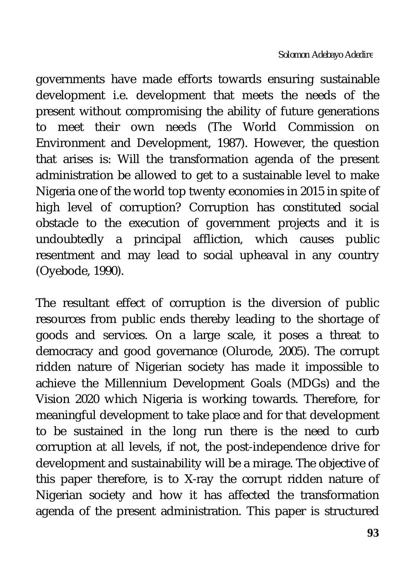governments have made efforts towards ensuring sustainable development i.e. development that meets the needs of the present without compromising the ability of future generations to meet their own needs (The World Commission on Environment and Development, 1987). However, the question that arises is: Will the transformation agenda of the present administration be allowed to get to a sustainable level to make Nigeria one of the world top twenty economies in 2015 in spite of high level of corruption? Corruption has constituted social obstacle to the execution of government projects and it is undoubtedly a principal affliction, which causes public resentment and may lead to social upheaval in any country (Oyebode, 1990).

The resultant effect of corruption is the diversion of public resources from public ends thereby leading to the shortage of goods and services. On a large scale, it poses a threat to democracy and good governance (Olurode, 2005). The corrupt ridden nature of Nigerian society has made it impossible to achieve the Millennium Development Goals (MDGs) and the Vision 2020 which Nigeria is working towards. Therefore, for meaningful development to take place and for that development to be sustained in the long run there is the need to curb corruption at all levels, if not, the post-independence drive for development and sustainability will be a mirage. The objective of this paper therefore, is to X-ray the corrupt ridden nature of Nigerian society and how it has affected the transformation agenda of the present administration. This paper is structured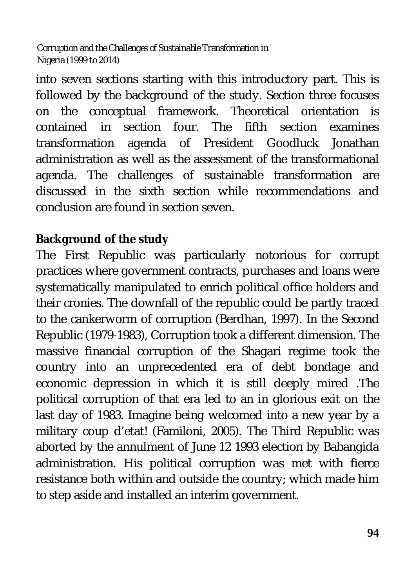into seven sections starting with this introductory part. This is followed by the background of the study. Section three focuses on the conceptual framework. Theoretical orientation is contained in section four. The fifth section examines transformation agenda of President Goodluck Jonathan administration as well as the assessment of the transformational agenda. The challenges of sustainable transformation are discussed in the sixth section while recommendations and conclusion are found in section seven.

### **Background of the study**

The First Republic was particularly notorious for corrupt practices where government contracts, purchases and loans were systematically manipulated to enrich political office holders and their cronies. The downfall of the republic could be partly traced to the cankerworm of corruption (Berdhan, 1997). In the Second Republic (1979-1983), Corruption took a different dimension. The massive financial corruption of the Shagari regime took the country into an unprecedented era of debt bondage and economic depression in which it is still deeply mired .The political corruption of that era led to an in glorious exit on the last day of 1983. Imagine being welcomed into a new year by a military coup d'etat! (Familoni, 2005). The Third Republic was aborted by the annulment of June 12 1993 election by Babangida administration. His political corruption was met with fierce resistance both within and outside the country; which made him to step aside and installed an interim government.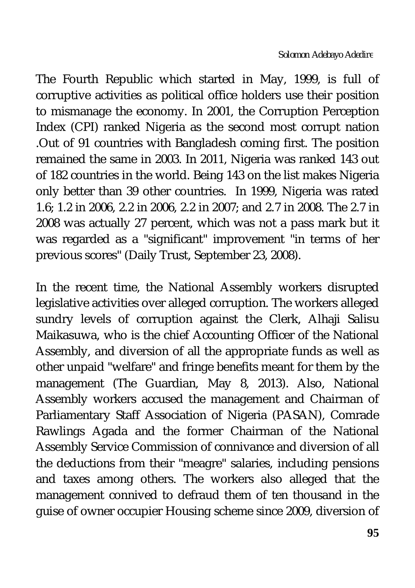The Fourth Republic which started in May, 1999, is full of corruptive activities as political office holders use their position to mismanage the economy. In 2001, the Corruption Perception Index (CPI) ranked Nigeria as the second most corrupt nation .Out of 91 countries with Bangladesh coming first. The position remained the same in 2003. In 2011, Nigeria was ranked 143 out of 182 countries in the world. Being 143 on the list makes Nigeria only better than 39 other countries. In 1999, Nigeria was rated 1.6; 1.2 in 2006, 2.2 in 2006, 2.2 in 2007; and 2.7 in 2008. The 2.7 in 2008 was actually 27 percent, which was not a pass mark but it was regarded as a "significant" improvement "in terms of her previous scores" (Daily Trust, September 23, 2008).

In the recent time, the National Assembly workers disrupted legislative activities over alleged corruption. The workers alleged sundry levels of corruption against the Clerk, Alhaji Salisu Maikasuwa, who is the chief Accounting Officer of the National Assembly, and diversion of all the appropriate funds as well as other unpaid "welfare" and fringe benefits meant for them by the management (The Guardian, May 8, 2013). Also, National Assembly workers accused the management and Chairman of Parliamentary Staff Association of Nigeria (PASAN), Comrade Rawlings Agada and the former Chairman of the National Assembly Service Commission of connivance and diversion of all the deductions from their "meagre" salaries, including pensions and taxes among others. The workers also alleged that the management connived to defraud them of ten thousand in the guise of owner occupier Housing scheme since 2009, diversion of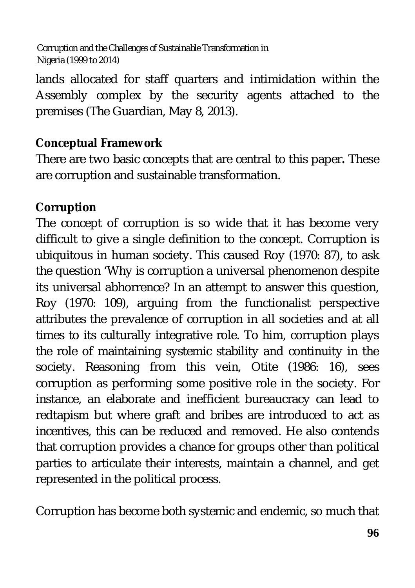lands allocated for staff quarters and intimidation within the Assembly complex by the security agents attached to the premises (The Guardian, May 8, 2013).

## **Conceptual Framework**

There are two basic concepts that are central to this paper**.** These are corruption and sustainable transformation.

## **Corruption**

The concept of corruption is so wide that it has become very difficult to give a single definition to the concept. Corruption is ubiquitous in human society. This caused Roy (1970: 87), to ask the question 'Why is corruption a universal phenomenon despite its universal abhorrence? In an attempt to answer this question, Roy (1970: 109), arguing from the functionalist perspective attributes the prevalence of corruption in all societies and at all times to its culturally integrative role. To him, corruption plays the role of maintaining systemic stability and continuity in the society. Reasoning from this vein, Otite (1986: 16), sees corruption as performing some positive role in the society. For instance, an elaborate and inefficient bureaucracy can lead to redtapism but where graft and bribes are introduced to act as incentives, this can be reduced and removed. He also contends that corruption provides a chance for groups other than political parties to articulate their interests, maintain a channel, and get represented in the political process.

Corruption has become both systemic and endemic, so much that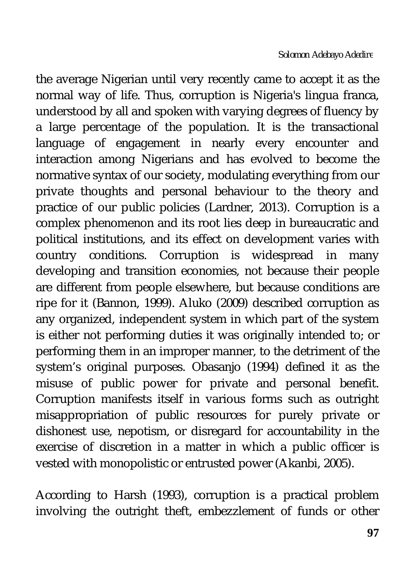the average Nigerian until very recently came to accept it as the normal way of life. Thus, corruption is Nigeria's lingua franca, understood by all and spoken with varying degrees of fluency by a large percentage of the population. It is the transactional language of engagement in nearly every encounter and interaction among Nigerians and has evolved to become the normative syntax of our society, modulating everything from our private thoughts and personal behaviour to the theory and practice of our public policies (Lardner, 2013). Corruption is a complex phenomenon and its root lies deep in bureaucratic and political institutions, and its effect on development varies with country conditions. Corruption is widespread in many developing and transition economies, not because their people are different from people elsewhere, but because conditions are ripe for it (Bannon, 1999). Aluko (2009) described corruption as any organized, independent system in which part of the system is either not performing duties it was originally intended to; or performing them in an improper manner, to the detriment of the system's original purposes. Obasanjo (1994) defined it as the misuse of public power for private and personal benefit. Corruption manifests itself in various forms such as outright misappropriation of public resources for purely private or dishonest use, nepotism, or disregard for accountability in the exercise of discretion in a matter in which a public officer is vested with monopolistic or entrusted power (Akanbi, 2005).

According to Harsh (1993), corruption is a practical problem involving the outright theft, embezzlement of funds or other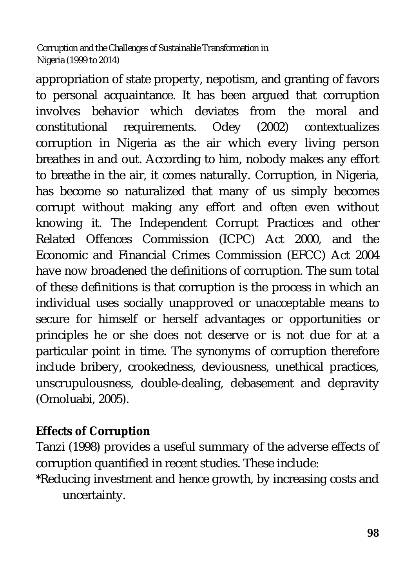appropriation of state property, nepotism, and granting of favors to personal acquaintance. It has been argued that corruption involves behavior which deviates from the moral and constitutional requirements. Odey (2002) contextualizes corruption in Nigeria as the air which every living person breathes in and out. According to him, nobody makes any effort to breathe in the air, it comes naturally. Corruption, in Nigeria, has become so naturalized that many of us simply becomes corrupt without making any effort and often even without knowing it. The Independent Corrupt Practices and other Related Offences Commission (ICPC) Act 2000, and the Economic and Financial Crimes Commission (EFCC) Act 2004 have now broadened the definitions of corruption. The sum total of these definitions is that corruption is the process in which an individual uses socially unapproved or unacceptable means to secure for himself or herself advantages or opportunities or principles he or she does not deserve or is not due for at a particular point in time. The synonyms of corruption therefore include bribery, crookedness, deviousness, unethical practices, unscrupulousness, double-dealing, debasement and depravity (Omoluabi, 2005).

### **Effects of Corruption**

Tanzi (1998) provides a useful summary of the adverse effects of corruption quantified in recent studies. These include:

\*Reducing investment and hence growth, by increasing costs and uncertainty.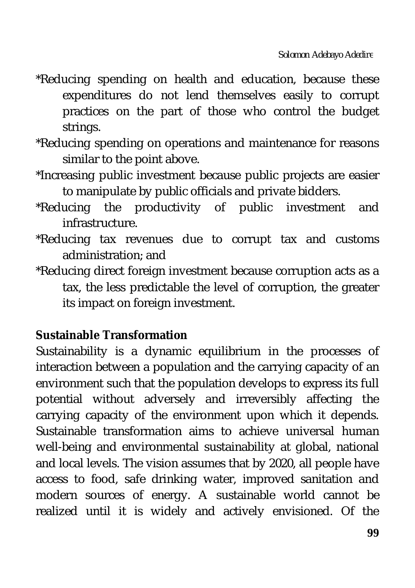- \*Reducing spending on health and education, because these expenditures do not lend themselves easily to corrupt practices on the part of those who control the budget strings.
- \*Reducing spending on operations and maintenance for reasons similar to the point above.
- \*Increasing public investment because public projects are easier to manipulate by public officials and private bidders.
- \*Reducing the productivity of public investment and infrastructure.
- \*Reducing tax revenues due to corrupt tax and customs administration; and
- \*Reducing direct foreign investment because corruption acts as a tax, the less predictable the level of corruption, the greater its impact on foreign investment.

### **Sustainable Transformation**

Sustainability is a dynamic equilibrium in the processes of interaction between a population and the carrying capacity of an environment such that the population develops to express its full potential without adversely and irreversibly affecting the carrying capacity of the environment upon which it depends. Sustainable transformation aims to achieve universal human well-being and environmental sustainability at global, national and local levels. The vision assumes that by 2020, all people have access to food, safe drinking water, improved sanitation and modern sources of energy. A sustainable world cannot be realized until it is widely and actively envisioned. Of the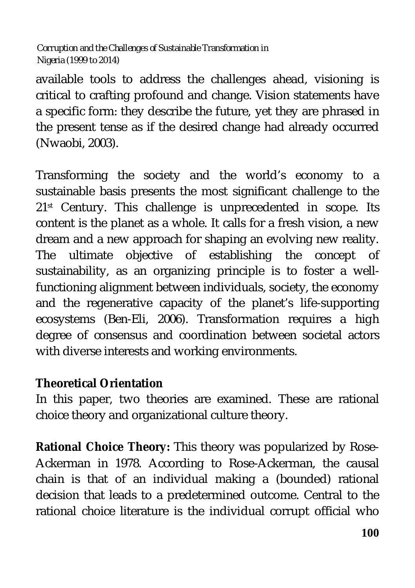available tools to address the challenges ahead, visioning is critical to crafting profound and change. Vision statements have a specific form: they describe the future, yet they are phrased in the present tense as if the desired change had already occurred (Nwaobi, 2003).

Transforming the society and the world's economy to a sustainable basis presents the most significant challenge to the 21<sup>st</sup> Century. This challenge is unprecedented in scope. Its content is the planet as a whole. It calls for a fresh vision, a new dream and a new approach for shaping an evolving new reality. The ultimate objective of establishing the concept of sustainability, as an organizing principle is to foster a wellfunctioning alignment between individuals, society, the economy and the regenerative capacity of the planet's life-supporting ecosystems (Ben-Eli, 2006). Transformation requires a high degree of consensus and coordination between societal actors with diverse interests and working environments.

#### **Theoretical Orientation**

In this paper, two theories are examined. These are rational choice theory and organizational culture theory.

**Rational Choice Theory:** This theory was popularized by Rose-Ackerman in 1978. According to Rose-Ackerman, the causal chain is that of an individual making a (bounded) rational decision that leads to a predetermined outcome. Central to the rational choice literature is the individual corrupt official who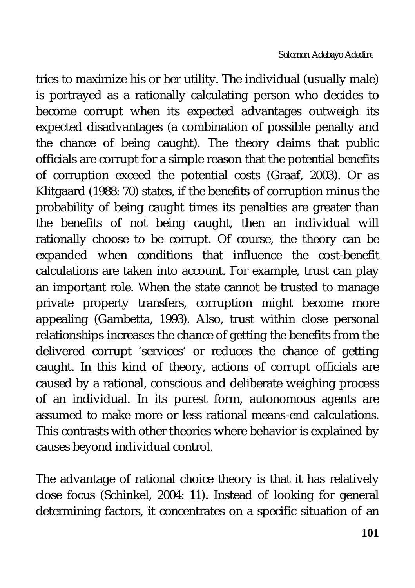tries to maximize his or her utility. The individual (usually male) is portrayed as a rationally calculating person who decides to become corrupt when its expected advantages outweigh its expected disadvantages (a combination of possible penalty and the chance of being caught). The theory claims that public officials are corrupt for a simple reason that the potential benefits of corruption exceed the potential costs (Graaf, 2003). Or as Klitgaard (1988: 70) states, if the benefits of corruption minus the probability of being caught times its penalties are greater than the benefits of not being caught, then an individual will rationally choose to be corrupt. Of course, the theory can be expanded when conditions that influence the cost-benefit calculations are taken into account. For example, trust can play an important role. When the state cannot be trusted to manage private property transfers, corruption might become more appealing (Gambetta, 1993). Also, trust within close personal relationships increases the chance of getting the benefits from the delivered corrupt 'services' or reduces the chance of getting caught. In this kind of theory, actions of corrupt officials are caused by a rational, conscious and deliberate weighing process of an individual. In its purest form, autonomous agents are assumed to make more or less rational means-end calculations. This contrasts with other theories where behavior is explained by causes beyond individual control.

The advantage of rational choice theory is that it has relatively close focus (Schinkel, 2004: 11). Instead of looking for general determining factors, it concentrates on a specific situation of an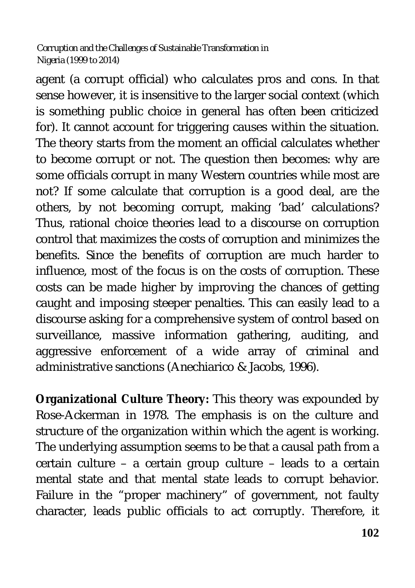agent (a corrupt official) who calculates pros and cons. In that sense however, it is insensitive to the larger social context (which is something public choice in general has often been criticized for). It cannot account for triggering causes within the situation. The theory starts from the moment an official calculates whether to become corrupt or not. The question then becomes: why are some officials corrupt in many Western countries while most are not? If some calculate that corruption is a good deal, are the others, by not becoming corrupt, making 'bad' calculations? Thus, rational choice theories lead to a discourse on corruption control that maximizes the costs of corruption and minimizes the benefits. Since the benefits of corruption are much harder to influence, most of the focus is on the costs of corruption. These costs can be made higher by improving the chances of getting caught and imposing steeper penalties. This can easily lead to a discourse asking for a comprehensive system of control based on surveillance, massive information gathering, auditing, and aggressive enforcement of a wide array of criminal and administrative sanctions (Anechiarico & Jacobs, 1996).

**Organizational Culture Theory:** This theory was expounded by Rose-Ackerman in 1978. The emphasis is on the culture and structure of the organization within which the agent is working. The underlying assumption seems to be that a causal path from a certain culture – a certain group culture – leads to a certain mental state and that mental state leads to corrupt behavior. Failure in the "proper machinery" of government, not faulty character, leads public officials to act corruptly. Therefore, it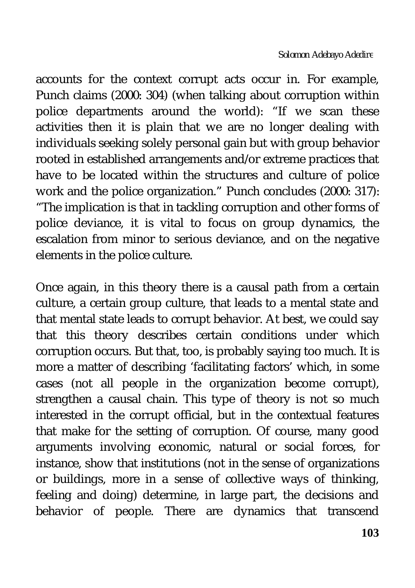accounts for the context corrupt acts occur in. For example, Punch claims (2000: 304) (when talking about corruption within police departments around the world): "If we scan these activities then it is plain that we are no longer dealing with individuals seeking solely personal gain but with group behavior rooted in established arrangements and/or extreme practices that have to be located within the structures and culture of police work and the police organization." Punch concludes (2000: 317): "The implication is that in tackling corruption and other forms of police deviance, it is vital to focus on group dynamics, the escalation from minor to serious deviance, and on the negative elements in the police culture.

Once again, in this theory there is a causal path from a certain culture, a certain group culture, that leads to a mental state and that mental state leads to corrupt behavior. At best, we could say that this theory describes certain conditions under which corruption occurs. But that, too, is probably saying too much. It is more a matter of describing 'facilitating factors' which, in some cases (not all people in the organization become corrupt), strengthen a causal chain. This type of theory is not so much interested in the corrupt official, but in the contextual features that make for the setting of corruption. Of course, many good arguments involving economic, natural or social forces, for instance, show that institutions (not in the sense of organizations or buildings, more in a sense of collective ways of thinking, feeling and doing) determine, in large part, the decisions and behavior of people. There are dynamics that transcend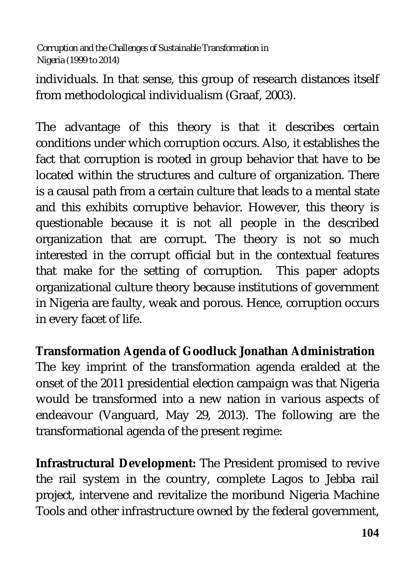individuals. In that sense, this group of research distances itself from methodological individualism (Graaf, 2003).

The advantage of this theory is that it describes certain conditions under which corruption occurs. Also, it establishes the fact that corruption is rooted in group behavior that have to be located within the structures and culture of organization. There is a causal path from a certain culture that leads to a mental state and this exhibits corruptive behavior. However, this theory is questionable because it is not all people in the described organization that are corrupt. The theory is not so much interested in the corrupt official but in the contextual features that make for the setting of corruption. This paper adopts organizational culture theory because institutions of government in Nigeria are faulty, weak and porous. Hence, corruption occurs in every facet of life.

## **Transformation Agenda of Goodluck Jonathan Administration**

The key imprint of the transformation agenda eralded at the onset of the 2011 presidential election campaign was that Nigeria would be transformed into a new nation in various aspects of endeavour (Vanguard, May 29, 2013). The following are the transformational agenda of the present regime:

**Infrastructural Development:** The President promised to revive the rail system in the country, complete Lagos to Jebba rail project, intervene and revitalize the moribund Nigeria Machine Tools and other infrastructure owned by the federal government,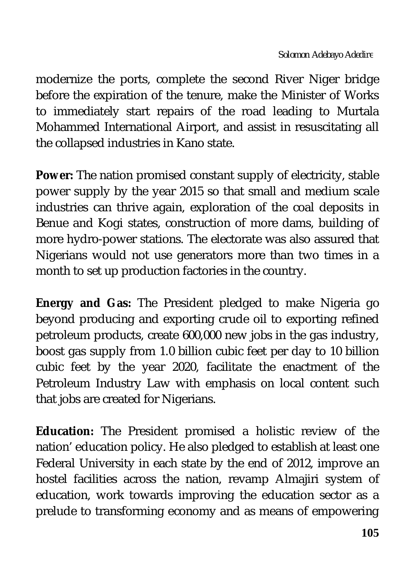modernize the ports, complete the second River Niger bridge before the expiration of the tenure, make the Minister of Works to immediately start repairs of the road leading to Murtala Mohammed International Airport, and assist in resuscitating all the collapsed industries in Kano state.

**Power:** The nation promised constant supply of electricity, stable power supply by the year 2015 so that small and medium scale industries can thrive again, exploration of the coal deposits in Benue and Kogi states, construction of more dams, building of more hydro-power stations. The electorate was also assured that Nigerians would not use generators more than two times in a month to set up production factories in the country.

**Energy and Gas:** The President pledged to make Nigeria go beyond producing and exporting crude oil to exporting refined petroleum products, create 600,000 new jobs in the gas industry, boost gas supply from 1.0 billion cubic feet per day to 10 billion cubic feet by the year 2020, facilitate the enactment of the Petroleum Industry Law with emphasis on local content such that jobs are created for Nigerians.

**Education:** The President promised a holistic review of the nation' education policy. He also pledged to establish at least one Federal University in each state by the end of 2012, improve an hostel facilities across the nation, revamp Almajiri system of education, work towards improving the education sector as a prelude to transforming economy and as means of empowering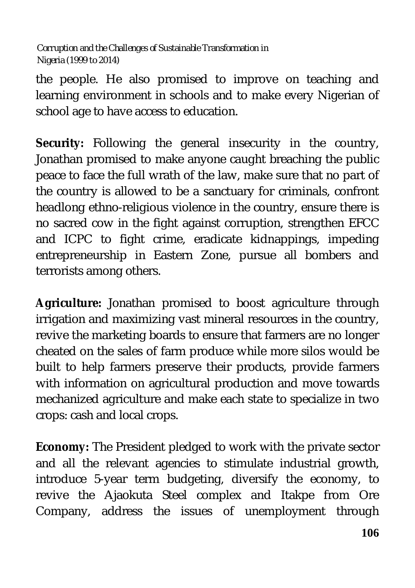the people. He also promised to improve on teaching and learning environment in schools and to make every Nigerian of school age to have access to education.

**Security:** Following the general insecurity in the country, Jonathan promised to make anyone caught breaching the public peace to face the full wrath of the law, make sure that no part of the country is allowed to be a sanctuary for criminals, confront headlong ethno-religious violence in the country, ensure there is no sacred cow in the fight against corruption, strengthen EFCC and ICPC to fight crime, eradicate kidnappings, impeding entrepreneurship in Eastern Zone, pursue all bombers and terrorists among others.

**Agriculture:** Jonathan promised to boost agriculture through irrigation and maximizing vast mineral resources in the country, revive the marketing boards to ensure that farmers are no longer cheated on the sales of farm produce while more silos would be built to help farmers preserve their products, provide farmers with information on agricultural production and move towards mechanized agriculture and make each state to specialize in two crops: cash and local crops.

**Economy:** The President pledged to work with the private sector and all the relevant agencies to stimulate industrial growth, introduce 5-year term budgeting, diversify the economy, to revive the Ajaokuta Steel complex and Itakpe from Ore Company, address the issues of unemployment through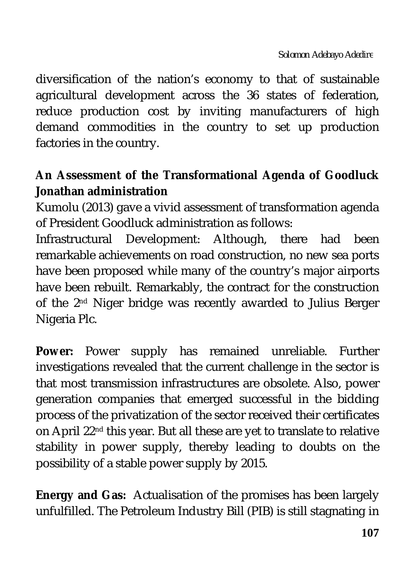diversification of the nation's economy to that of sustainable agricultural development across the 36 states of federation, reduce production cost by inviting manufacturers of high demand commodities in the country to set up production factories in the country.

## **An Assessment of the Transformational Agenda of Goodluck Jonathan administration**

Kumolu (2013) gave a vivid assessment of transformation agenda of President Goodluck administration as follows:

Infrastructural Development: Although, there had been remarkable achievements on road construction, no new sea ports have been proposed while many of the country's major airports have been rebuilt. Remarkably, the contract for the construction of the 2<sup>nd</sup> Niger bridge was recently awarded to Julius Berger Nigeria Plc.

**Power:** Power supply has remained unreliable. Further investigations revealed that the current challenge in the sector is that most transmission infrastructures are obsolete. Also, power generation companies that emerged successful in the bidding process of the privatization of the sector received their certificates on April 22nd this year. But all these are yet to translate to relative stability in power supply, thereby leading to doubts on the possibility of a stable power supply by 2015.

**Energy and Gas:** Actualisation of the promises has been largely unfulfilled. The Petroleum Industry Bill (PIB) is still stagnating in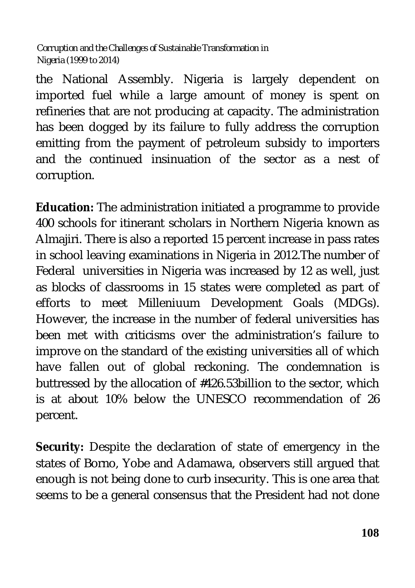the National Assembly. Nigeria is largely dependent on imported fuel while a large amount of money is spent on refineries that are not producing at capacity. The administration has been dogged by its failure to fully address the corruption emitting from the payment of petroleum subsidy to importers and the continued insinuation of the sector as a nest of corruption.

**Education:** The administration initiated a programme to provide 400 schools for itinerant scholars in Northern Nigeria known as Almajiri. There is also a reported 15 percent increase in pass rates in school leaving examinations in Nigeria in 2012.The number of Federal universities in Nigeria was increased by 12 as well, just as blocks of classrooms in 15 states were completed as part of efforts to meet Milleniuum Development Goals (MDGs). However, the increase in the number of federal universities has been met with criticisms over the administration's failure to improve on the standard of the existing universities all of which have fallen out of global reckoning. The condemnation is buttressed by the allocation of #426.53billion to the sector, which is at about 10% below the UNESCO recommendation of 26 percent.

**Security:** Despite the declaration of state of emergency in the states of Borno, Yobe and Adamawa, observers still argued that enough is not being done to curb insecurity. This is one area that seems to be a general consensus that the President had not done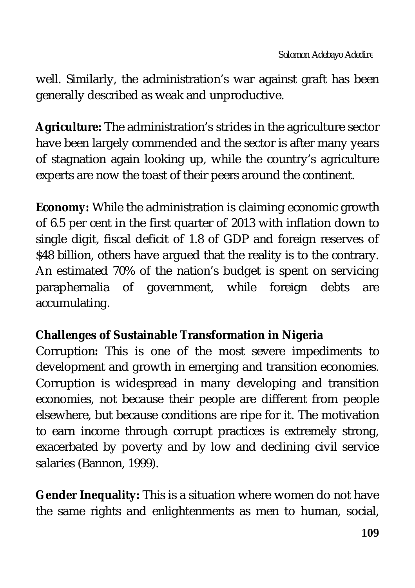well. Similarly, the administration's war against graft has been generally described as weak and unproductive.

**Agriculture:** The administration's strides in the agriculture sector have been largely commended and the sector is after many years of stagnation again looking up, while the country's agriculture experts are now the toast of their peers around the continent.

**Economy:** While the administration is claiming economic growth of 6.5 per cent in the first quarter of 2013 with inflation down to single digit, fiscal deficit of 1.8 of GDP and foreign reserves of \$48 billion, others have argued that the reality is to the contrary. An estimated 70% of the nation's budget is spent on servicing paraphernalia of government, while foreign debts are accumulating.

### **Challenges of Sustainable Transformation in Nigeria**

Corruption**:** This is one of the most severe impediments to development and growth in emerging and transition economies. Corruption is widespread in many developing and transition economies, not because their people are different from people elsewhere, but because conditions are ripe for it. The motivation to earn income through corrupt practices is extremely strong, exacerbated by poverty and by low and declining civil service salaries (Bannon, 1999).

**Gender Inequality:** This is a situation where women do not have the same rights and enlightenments as men to human, social,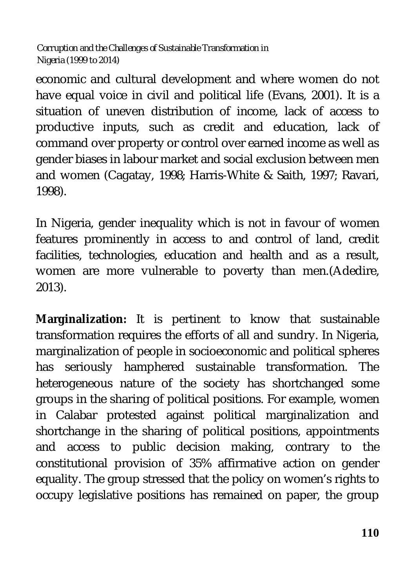economic and cultural development and where women do not have equal voice in civil and political life (Evans, 2001). It is a situation of uneven distribution of income, lack of access to productive inputs, such as credit and education, lack of command over property or control over earned income as well as gender biases in labour market and social exclusion between men and women (Cagatay, 1998; Harris-White & Saith, 1997; Ravari, 1998).

In Nigeria, gender inequality which is not in favour of women features prominently in access to and control of land, credit facilities, technologies, education and health and as a result, women are more vulnerable to poverty than men.(Adedire, 2013).

**Marginalization:** It is pertinent to know that sustainable transformation requires the efforts of all and sundry. In Nigeria, marginalization of people in socioeconomic and political spheres has seriously hamphered sustainable transformation. The heterogeneous nature of the society has shortchanged some groups in the sharing of political positions. For example, women in Calabar protested against political marginalization and shortchange in the sharing of political positions, appointments and access to public decision making, contrary to the constitutional provision of 35% affirmative action on gender equality. The group stressed that the policy on women's rights to occupy legislative positions has remained on paper, the group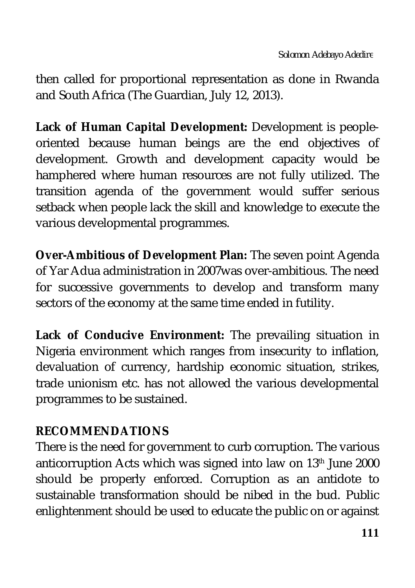then called for proportional representation as done in Rwanda and South Africa (The Guardian, July 12, 2013).

**Lack of Human Capital Development:** Development is peopleoriented because human beings are the end objectives of development. Growth and development capacity would be hamphered where human resources are not fully utilized. The transition agenda of the government would suffer serious setback when people lack the skill and knowledge to execute the various developmental programmes.

**Over-Ambitious of Development Plan:** The seven point Agenda of Yar Adua administration in 2007was over-ambitious. The need for successive governments to develop and transform many sectors of the economy at the same time ended in futility.

**Lack of Conducive Environment:** The prevailing situation in Nigeria environment which ranges from insecurity to inflation, devaluation of currency, hardship economic situation, strikes, trade unionism etc. has not allowed the various developmental programmes to be sustained.

## **RECOMMENDATIONS**

There is the need for government to curb corruption. The various anticorruption Acts which was signed into law on 13th June 2000 should be properly enforced. Corruption as an antidote to sustainable transformation should be nibed in the bud. Public enlightenment should be used to educate the public on or against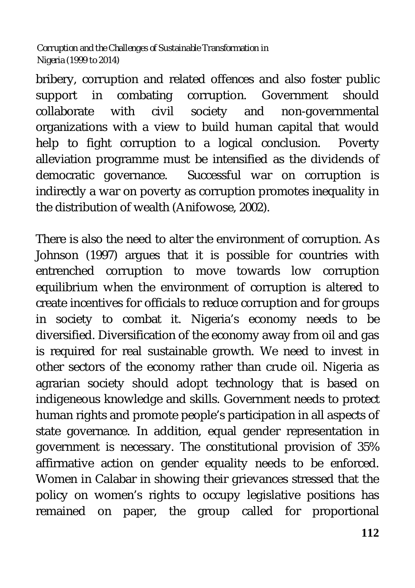bribery, corruption and related offences and also foster public support in combating corruption. Government should collaborate with civil society and non-governmental organizations with a view to build human capital that would help to fight corruption to a logical conclusion. Poverty alleviation programme must be intensified as the dividends of democratic governance. Successful war on corruption is indirectly a war on poverty as corruption promotes inequality in the distribution of wealth (Anifowose, 2002).

There is also the need to alter the environment of corruption. As Johnson (1997) argues that it is possible for countries with entrenched corruption to move towards low corruption equilibrium when the environment of corruption is altered to create incentives for officials to reduce corruption and for groups in society to combat it. Nigeria's economy needs to be diversified. Diversification of the economy away from oil and gas is required for real sustainable growth. We need to invest in other sectors of the economy rather than crude oil. Nigeria as agrarian society should adopt technology that is based on indigeneous knowledge and skills. Government needs to protect human rights and promote people's participation in all aspects of state governance. In addition, equal gender representation in government is necessary. The constitutional provision of 35% affirmative action on gender equality needs to be enforced. Women in Calabar in showing their grievances stressed that the policy on women's rights to occupy legislative positions has remained on paper, the group called for proportional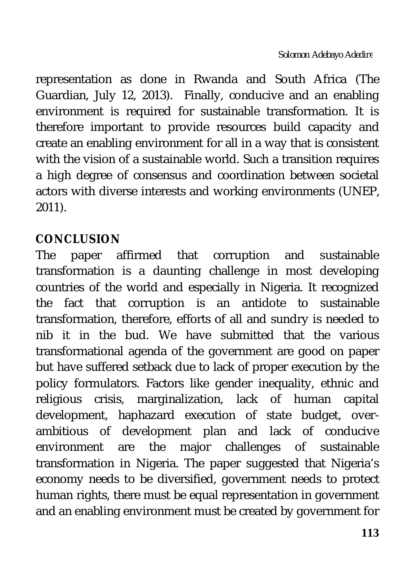representation as done in Rwanda and South Africa (The Guardian, July 12, 2013). Finally, conducive and an enabling environment is required for sustainable transformation. It is therefore important to provide resources build capacity and create an enabling environment for all in a way that is consistent with the vision of a sustainable world. Such a transition requires a high degree of consensus and coordination between societal actors with diverse interests and working environments (UNEP, 2011).

## **CONCLUSION**

The paper affirmed that corruption and sustainable transformation is a daunting challenge in most developing countries of the world and especially in Nigeria. It recognized the fact that corruption is an antidote to sustainable transformation, therefore, efforts of all and sundry is needed to nib it in the bud. We have submitted that the various transformational agenda of the government are good on paper but have suffered setback due to lack of proper execution by the policy formulators. Factors like gender inequality, ethnic and religious crisis, marginalization, lack of human capital development, haphazard execution of state budget, overambitious of development plan and lack of conducive environment are the major challenges of sustainable transformation in Nigeria. The paper suggested that Nigeria's economy needs to be diversified, government needs to protect human rights, there must be equal representation in government and an enabling environment must be created by government for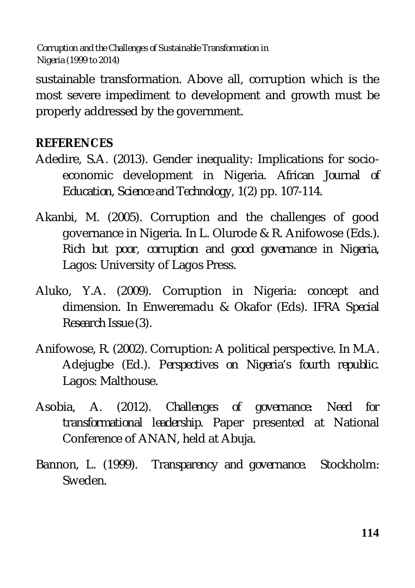sustainable transformation. Above all, corruption which is the most severe impediment to development and growth must be properly addressed by the government.

## **REFERENCES**

- Adedire, S.A. (2013). Gender inequality: Implications for socioeconomic development in Nigeria. *African Journal of Education, Science and Technology*, 1*(2*) pp. 107-114.
- Akanbi, M. (2005). Corruption and the challenges of good governance in Nigeria. In L. Olurode & R. Anifowose (Eds.). *Rich but poor, corruption and good governance in Nigeria*, Lagos: University of Lagos Press.
- Aluko, Y.A. (2009). Corruption in Nigeria: concept and dimension. In Enweremadu & Okafor (Eds). *IFRA Special Research Issue (3)*.
- Anifowose, R. (2002). Corruption: A political perspective. In M.A. Adejugbe (Ed.). *Perspectives on Nigeria's fourth republic*. Lagos: Malthouse.
- Asobia, A. (2012). *Challenges of governance: Need for transformational leadership*. Paper presented at National Conference of ANAN, held at Abuja.
- Bannon, L. (1999). *Transparency and governance*. Stockholm: Sweden.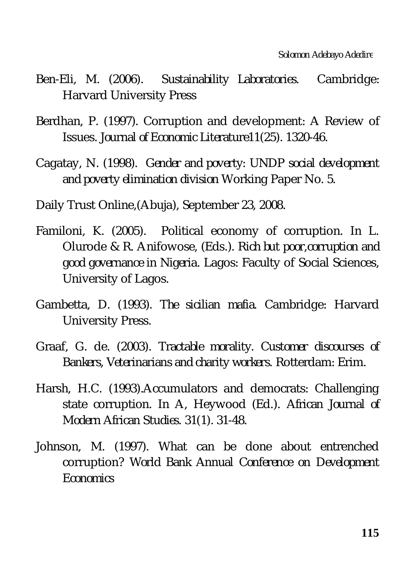- Ben-Eli, M. (2006). *Sustainability Laboratories.* Cambridge: Harvard University Press
- Berdhan, P. (1997). Corruption and development*:* A Review of Issues*. Journal of Economic Literature11*(25). 1320-46.
- Cagatay, N. (1998). *Gender and poverty: UNDP social development and poverty elimination division* Working Paper No. 5.
- Daily Trust Online,(Abuja), September 23, 2008.
- Familoni, K. (2005). Political economy of corruption. In L. Olurode & R. Anifowose, (Eds.). *Rich but poor,corruption and good governance in Nigeri*a. Lagos: Faculty of Social Sciences, University of Lagos.
- Gambetta, D. (1993). *The sicilian mafia*. Cambridge: Harvard University Press.
- Graaf, G. de. (2003). *Tractable morality. Customer discourses of Bankers, Veterinarians and charity workers.* Rotterdam: Erim.
- Harsh, H.C. (1993).Accumulators and democrats: Challenging state corruption. In A, Heywood (Ed.). *African Journal of Modern African Studies*. *31(*1). 31-48.
- Johnson, M. (1997). What can be done about entrenched corruption? *World Bank Annual Conference on Development Economics*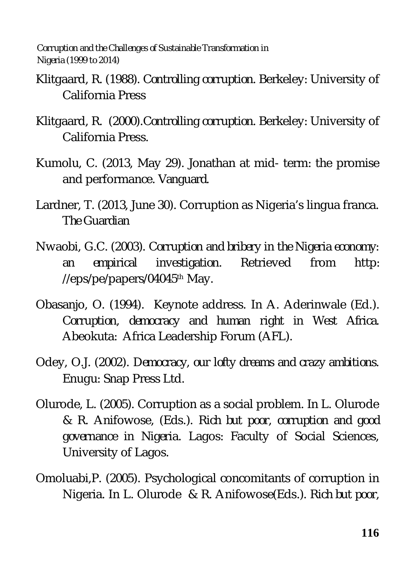- Klitgaard, R. (1988). *Controlling corruption.* Berkeley: University of California Press
- Klitgaard, R. (2000).*Controlling corruption.* Berkeley: University of California Press.
- Kumolu, C. (2013, May 29). Jonathan at mid- term: the promise and performance. *Vanguard.*
- Lardner, T. (2013, June 30). Corruption as Nigeria's lingua franca. *The Guardian*
- Nwaobi, G.C. (2003). *Corruption and bribery in the Nigeria economy: an empirical investigation*. Retrieved from http: //eps/pe/papers/04045<sup>th</sup> May.
- Obasanjo, O. (1994). Keynote address. In A. Aderinwale (Ed.). *Corruption, democracy and human right in West Africa.*  Abeokuta: Africa Leadership Forum (AFL).
- Odey, O.J. (2002). *Democracy, our lofty dreams and crazy ambitions*. Enugu: Snap Press Ltd.
- Olurode, L. (2005). Corruption as a social problem. In L. Olurode & R. Anifowose, (Eds.)*. Rich but poor, corruption and good governance in Nigeri*a. Lagos: Faculty of Social Sciences, University of Lagos.
- Omoluabi,P. (2005). Psychological concomitants of corruption in Nigeria. In L. Olurode & R. Anifowose(Eds.). *Rich but poor,*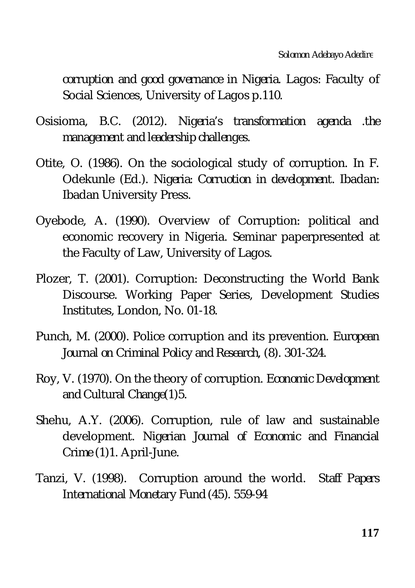*corruption and good governance in Nigeria.* Lagos: Faculty of Social Sciences, University of Lagos p.110.

- Osisioma, B.C. (2012). *Nigeria's transformation agenda .the management and leadership challenges*.
- Otite, O. (1986). On the sociological study of corruption. In F. Odekunle (Ed.). *Nigeria: Corruotion in development*. Ibadan: Ibadan University Press.
- Oyebode, A. (1990). Overview of Corruption: political and economic recovery in Nigeria. Seminar paperpresented at the Faculty of Law, University of Lagos.
- Plozer, T. (2001). Corruption: Deconstructing the World Bank Discourse. Working Paper Series, Development Studies Institutes, London, No. 01-18.
- Punch, M. (2000). Police corruption and its prevention. *European Journal on Criminal Policy and Research, (*8). 301-324.
- Roy, V. (1970). On the theory of corruption. *Economic Development and Cultural Change(1*)5.
- Shehu, A.Y. (2006). Corruption, rule of law and sustainable development. *Nigerian Journal of Economic and Financial Crime* (1)1. April-June.
- Tanzi, V. (1998). Corruption around the world. *Staff Papers International Monetary Fund (45).* 559-94